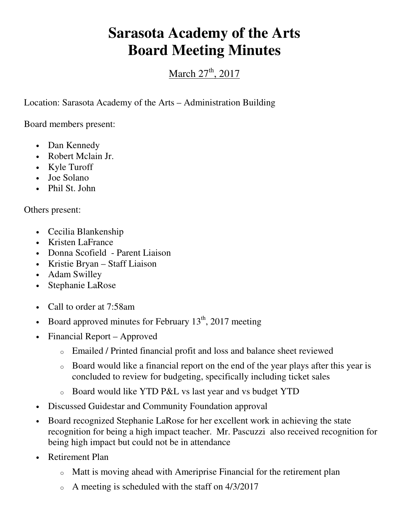## **Sarasota Academy of the Arts Board Meeting Minutes**

March  $27<sup>th</sup>$ , 2017

Location: Sarasota Academy of the Arts – Administration Building

Board members present:

- Dan Kennedy
- Robert Mclain Jr.
- Kyle Turoff
- Joe Solano
- Phil St. John

Others present:

- Cecilia Blankenship
- Kristen LaFrance
- Donna Scofield Parent Liaison
- Kristie Bryan Staff Liaison
- Adam Swilley
- Stephanie LaRose
- Call to order at 7:58am
- Board approved minutes for February  $13<sup>th</sup>$ , 2017 meeting
- Financial Report Approved
	- o Emailed / Printed financial profit and loss and balance sheet reviewed
	- o Board would like a financial report on the end of the year plays after this year is concluded to review for budgeting, specifically including ticket sales
	- o Board would like YTD P&L vs last year and vs budget YTD
- Discussed Guidestar and Community Foundation approval
- Board recognized Stephanie LaRose for her excellent work in achieving the state recognition for being a high impact teacher. Mr. Pascuzzi also received recognition for being high impact but could not be in attendance
- Retirement Plan
	- o Matt is moving ahead with Ameriprise Financial for the retirement plan
	- o A meeting is scheduled with the staff on 4/3/2017